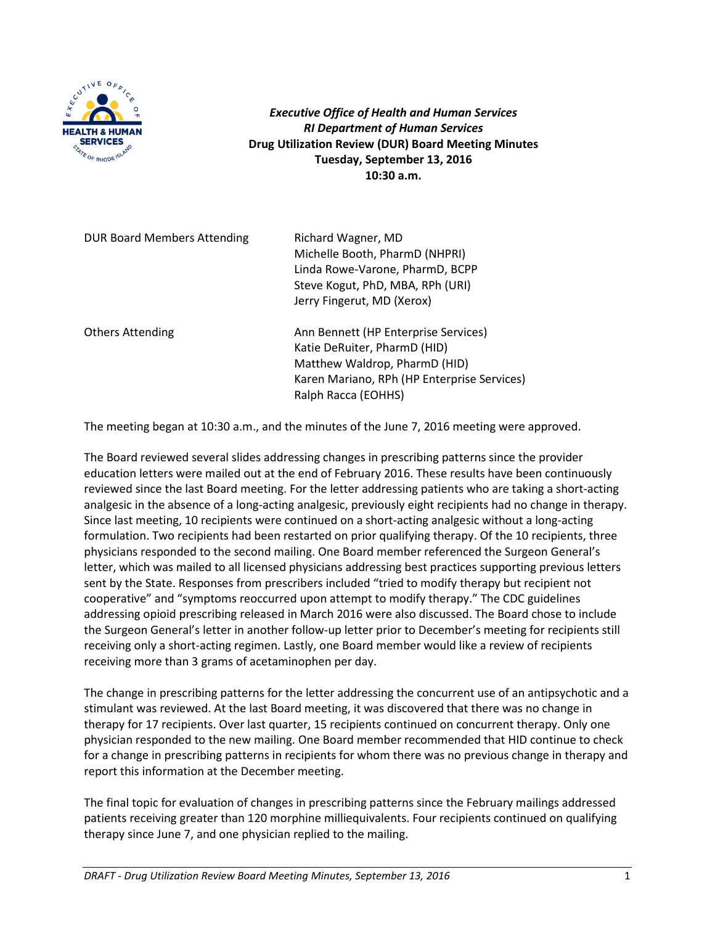

*Executive Office of Health and Human Services RI Department of Human Services* **Drug Utilization Review (DUR) Board Meeting Minutes Tuesday, September 13, 2016 10:30 a.m.**

DUR Board Members Attending Richard Wagner, MD

Michelle Booth, PharmD (NHPRI) Linda Rowe-Varone, PharmD, BCPP Steve Kogut, PhD, MBA, RPh (URI) Jerry Fingerut, MD (Xerox)

Others Attending **Ann Bennett** (HP Enterprise Services) Katie DeRuiter, PharmD (HID) Matthew Waldrop, PharmD (HID) Karen Mariano, RPh (HP Enterprise Services) Ralph Racca (EOHHS)

The meeting began at 10:30 a.m., and the minutes of the June 7, 2016 meeting were approved.

The Board reviewed several slides addressing changes in prescribing patterns since the provider education letters were mailed out at the end of February 2016. These results have been continuously reviewed since the last Board meeting. For the letter addressing patients who are taking a short-acting analgesic in the absence of a long-acting analgesic, previously eight recipients had no change in therapy. Since last meeting, 10 recipients were continued on a short-acting analgesic without a long-acting formulation. Two recipients had been restarted on prior qualifying therapy. Of the 10 recipients, three physicians responded to the second mailing. One Board member referenced the Surgeon General's letter, which was mailed to all licensed physicians addressing best practices supporting previous letters sent by the State. Responses from prescribers included "tried to modify therapy but recipient not cooperative" and "symptoms reoccurred upon attempt to modify therapy." The CDC guidelines addressing opioid prescribing released in March 2016 were also discussed. The Board chose to include the Surgeon General's letter in another follow-up letter prior to December's meeting for recipients still receiving only a short-acting regimen. Lastly, one Board member would like a review of recipients receiving more than 3 grams of acetaminophen per day.

The change in prescribing patterns for the letter addressing the concurrent use of an antipsychotic and a stimulant was reviewed. At the last Board meeting, it was discovered that there was no change in therapy for 17 recipients. Over last quarter, 15 recipients continued on concurrent therapy. Only one physician responded to the new mailing. One Board member recommended that HID continue to check for a change in prescribing patterns in recipients for whom there was no previous change in therapy and report this information at the December meeting.

The final topic for evaluation of changes in prescribing patterns since the February mailings addressed patients receiving greater than 120 morphine milliequivalents. Four recipients continued on qualifying therapy since June 7, and one physician replied to the mailing.